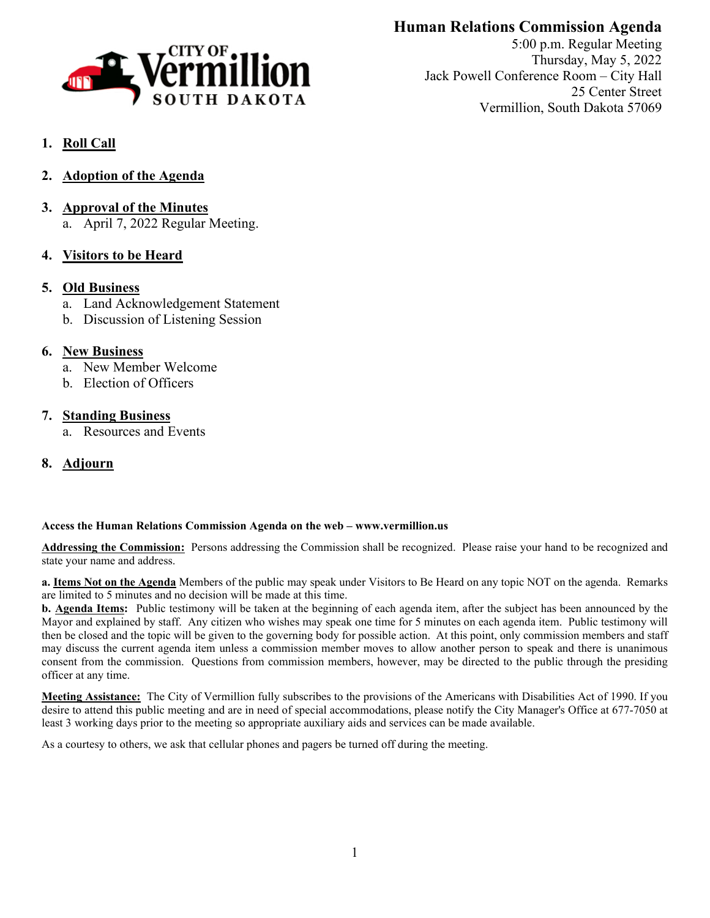

# **Human Relations Commission Agenda**

5:00 p.m. Regular Meeting Thursday, May 5, 2022 Jack Powell Conference Room – City Hall 25 Center Street Vermillion, South Dakota 57069

# **1. Roll Call**

- **2. Adoption of the Agenda**
- **3. Approval of the Minutes** a. April 7, 2022 Regular Meeting.
- **4. Visitors to be Heard**

# **5. Old Business**

- a. Land Acknowledgement Statement
- b. Discussion of Listening Session

### **6. New Business**

- a. New Member Welcome
- b. Election of Officers

# **7. Standing Business**

a. Resources and Events

# **8. Adjourn**

### **Access the Human Relations Commission Agenda on the web – www.vermillion.us**

**Addressing the Commission:** Persons addressing the Commission shall be recognized. Please raise your hand to be recognized and state your name and address.

**a. Items Not on the Agenda** Members of the public may speak under Visitors to Be Heard on any topic NOT on the agenda. Remarks are limited to 5 minutes and no decision will be made at this time.

**b. Agenda Items:** Public testimony will be taken at the beginning of each agenda item, after the subject has been announced by the Mayor and explained by staff. Any citizen who wishes may speak one time for 5 minutes on each agenda item. Public testimony will then be closed and the topic will be given to the governing body for possible action. At this point, only commission members and staff may discuss the current agenda item unless a commission member moves to allow another person to speak and there is unanimous consent from the commission. Questions from commission members, however, may be directed to the public through the presiding officer at any time.

**Meeting Assistance:** The City of Vermillion fully subscribes to the provisions of the Americans with Disabilities Act of 1990. If you desire to attend this public meeting and are in need of special accommodations, please notify the City Manager's Office at 677-7050 at least 3 working days prior to the meeting so appropriate auxiliary aids and services can be made available.

As a courtesy to others, we ask that cellular phones and pagers be turned off during the meeting.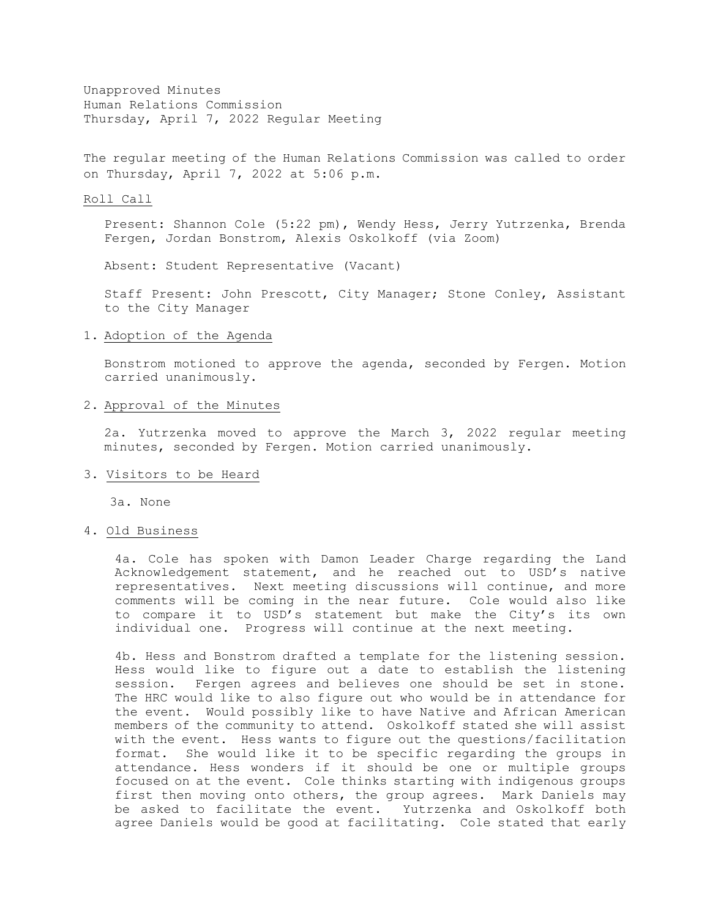Unapproved Minutes Human Relations Commission Thursday, April 7, 2022 Regular Meeting

The regular meeting of the Human Relations Commission was called to order on Thursday, April 7, 2022 at 5:06 p.m.

#### Roll Call

Present: Shannon Cole (5:22 pm), Wendy Hess, Jerry Yutrzenka, Brenda Fergen, Jordan Bonstrom, Alexis Oskolkoff (via Zoom)

Absent: Student Representative (Vacant)

Staff Present: John Prescott, City Manager; Stone Conley, Assistant to the City Manager

#### 1. Adoption of the Agenda

Bonstrom motioned to approve the agenda, seconded by Fergen. Motion carried unanimously.

#### 2. Approval of the Minutes

2a. Yutrzenka moved to approve the March 3, 2022 regular meeting minutes, seconded by Fergen. Motion carried unanimously.

#### 3. Visitors to be Heard

3a. None

### 4. Old Business

4a. Cole has spoken with Damon Leader Charge regarding the Land Acknowledgement statement, and he reached out to USD's native representatives. Next meeting discussions will continue, and more comments will be coming in the near future. Cole would also like to compare it to USD's statement but make the City's its own individual one. Progress will continue at the next meeting.

4b. Hess and Bonstrom drafted a template for the listening session. Hess would like to figure out a date to establish the listening session. Fergen agrees and believes one should be set in stone. The HRC would like to also figure out who would be in attendance for the event. Would possibly like to have Native and African American members of the community to attend. Oskolkoff stated she will assist with the event. Hess wants to figure out the questions/facilitation format. She would like it to be specific regarding the groups in attendance. Hess wonders if it should be one or multiple groups focused on at the event. Cole thinks starting with indigenous groups first then moving onto others, the group agrees. Mark Daniels may be asked to facilitate the event. Yutrzenka and Oskolkoff both agree Daniels would be good at facilitating. Cole stated that early